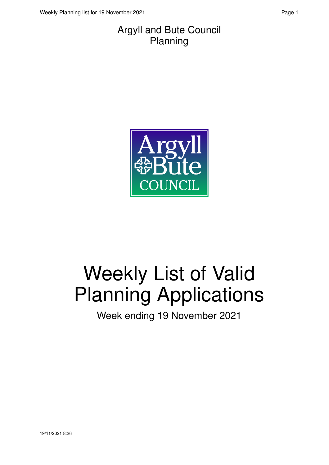#### Argyll and Bute Council Planning



# Weekly List of Valid Planning Applications

Week ending 19 November 2021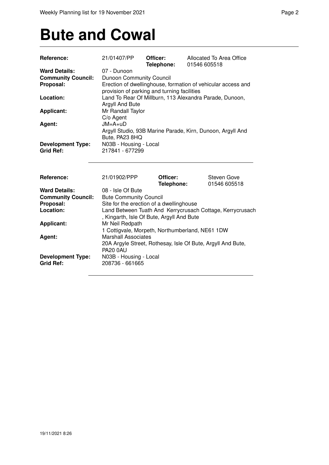### **Bute and Cowal**

| Reference:                                   | 21/01407/PP                                                                                                                                        | Officer:<br>Telephone: | Allocated To Area Office<br>01546 605518                     |  |
|----------------------------------------------|----------------------------------------------------------------------------------------------------------------------------------------------------|------------------------|--------------------------------------------------------------|--|
| <b>Ward Details:</b>                         | 07 - Dunoon                                                                                                                                        |                        |                                                              |  |
| <b>Community Council:</b>                    | <b>Dunoon Community Council</b>                                                                                                                    |                        |                                                              |  |
| Proposal:                                    | provision of parking and turning facilities                                                                                                        |                        | Erection of dwellinghouse, formation of vehicular access and |  |
| Location:                                    | Land To Rear Of Millburn, 113 Alexandra Parade, Dunoon,<br>Argyll And Bute                                                                         |                        |                                                              |  |
| <b>Applicant:</b>                            | Mr Randall Taylor<br>C/o Agent                                                                                                                     |                        |                                                              |  |
| Agent:                                       | $JM = A + uD$<br>Argyll Studio, 93B Marine Parade, Kirn, Dunoon, Argyll And<br>Bute, PA23 8HQ                                                      |                        |                                                              |  |
| <b>Development Type:</b><br><b>Grid Ref:</b> | N03B - Housing - Local<br>217841 - 677299                                                                                                          |                        |                                                              |  |
| <b>Reference:</b>                            | 21/01902/PPP                                                                                                                                       | Officer:<br>Telephone: | Steven Gove<br>01546 605518                                  |  |
| <b>Ward Details:</b>                         | 08 - Isle Of Bute                                                                                                                                  |                        |                                                              |  |
| <b>Community Council:</b>                    | <b>Bute Community Council</b>                                                                                                                      |                        |                                                              |  |
| Proposal:                                    |                                                                                                                                                    |                        |                                                              |  |
| Location:                                    | Site for the erection of a dwellinghouse<br>Land Between Tuath And Kerrycrusach Cottage, Kerrycrusach<br>, Kingarth, Isle Of Bute, Argyll And Bute |                        |                                                              |  |
| <b>Applicant:</b>                            | Mr Neil Redpath<br>1 Cottigvale, Morpeth, Northumberland, NE61 1DW                                                                                 |                        |                                                              |  |
| Agent:                                       | <b>Marshall Associates</b><br>20A Argyle Street, Rothesay, Isle Of Bute, Argyll And Bute,<br><b>PA20 0AU</b>                                       |                        |                                                              |  |
| <b>Development Type:</b><br><b>Grid Ref:</b> | N03B - Housing - Local<br>208736 - 661665                                                                                                          |                        |                                                              |  |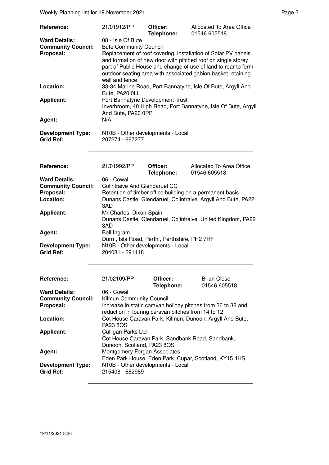Weekly Planning list for 19 November 2021 and the state of the Page 3 Page 3

| Reference:                                                                  | 21/01912/PP                                                                                                                                                                                                                                                                                                                             | Officer:<br>Telephone: | Allocated To Area Office<br>01546 605518                       |  |  |
|-----------------------------------------------------------------------------|-----------------------------------------------------------------------------------------------------------------------------------------------------------------------------------------------------------------------------------------------------------------------------------------------------------------------------------------|------------------------|----------------------------------------------------------------|--|--|
| <b>Ward Details:</b><br><b>Community Council:</b><br>Proposal:              | 08 - Isle Of Bute<br><b>Bute Community Council</b><br>Replacement of roof covering, installation of Solar PV panels<br>and formation of new door with pitched roof on single storey<br>part of Public House and change of use of land to rear to form<br>outdoor seating area with associated gabion basket retaining<br>wall and fence |                        |                                                                |  |  |
| Location:                                                                   | Bute, PA20 OLL                                                                                                                                                                                                                                                                                                                          |                        | 33-34 Marine Road, Port Bannatyne, Isle Of Bute, Argyll And    |  |  |
| <b>Applicant:</b>                                                           | Port Bannatyne Development Trust<br>And Bute, PA20 0PP                                                                                                                                                                                                                                                                                  |                        | Inverbroom, 40 High Road, Port Bannatyne, Isle Of Bute, Argyll |  |  |
| Agent:                                                                      | N/A                                                                                                                                                                                                                                                                                                                                     |                        |                                                                |  |  |
| <b>Development Type:</b><br><b>Grid Ref:</b>                                | N10B - Other developments - Local<br>207274 - 667277                                                                                                                                                                                                                                                                                    |                        |                                                                |  |  |
| Reference:                                                                  | 21/01992/PP                                                                                                                                                                                                                                                                                                                             | Officer:<br>Telephone: | Allocated To Area Office<br>01546 605518                       |  |  |
| <b>Ward Details:</b><br><b>Community Council:</b><br>Proposal:<br>Location: | 06 - Cowal<br><b>Colintraive And Glendaruel CC</b><br>Retention of timber office building on a permanent basis<br>Dunans Castle, Glendaruel, Colintraive, Argyll And Bute, PA22                                                                                                                                                         |                        |                                                                |  |  |
| <b>Applicant:</b>                                                           | 3AD<br>Mr Charles Dixon-Spain<br>3AD                                                                                                                                                                                                                                                                                                    |                        | Dunans Castle, Glendaruel, Colintraive, United Kingdom, PA22   |  |  |
| Agent:<br><b>Development Type:</b>                                          | Bell Ingram<br>Durn, Isla Road, Perth, Perthshire, PH2 7HF<br>N10B - Other developments - Local                                                                                                                                                                                                                                         |                        |                                                                |  |  |
| <b>Grid Ref:</b>                                                            | 204081 - 691118                                                                                                                                                                                                                                                                                                                         |                        |                                                                |  |  |
| Reference:                                                                  | 21/02109/PP                                                                                                                                                                                                                                                                                                                             | Officer:<br>Telephone: | <b>Brian Close</b><br>01546 605518                             |  |  |
| <b>Ward Details:</b><br><b>Community Council:</b><br>Proposal:              | 06 - Cowal<br>Kilmun Community Council<br>Increase in static caravan holiday pitches from 36 to 38 and<br>reduction in touring caravan pitches from 14 to 12                                                                                                                                                                            |                        |                                                                |  |  |
| Location:                                                                   | Cot House Caravan Park, Kilmun, Dunoon, Argyll And Bute,<br><b>PA23 8QS</b><br>Culligan Parks Ltd<br>Cot House Caravan Park, Sandbank Road, Sandbank,<br>Dunoon, Scotland, PA23 8QS                                                                                                                                                     |                        |                                                                |  |  |
| <b>Applicant:</b>                                                           |                                                                                                                                                                                                                                                                                                                                         |                        |                                                                |  |  |
| Agent:                                                                      | Montgomery Forgan Associates<br>Eden Park House, Eden Park, Cupar, Scotland, KY15 4HS                                                                                                                                                                                                                                                   |                        |                                                                |  |  |
| <b>Development Type:</b><br><b>Grid Ref:</b>                                | N10B - Other developments - Local<br>215408 - 682989                                                                                                                                                                                                                                                                                    |                        |                                                                |  |  |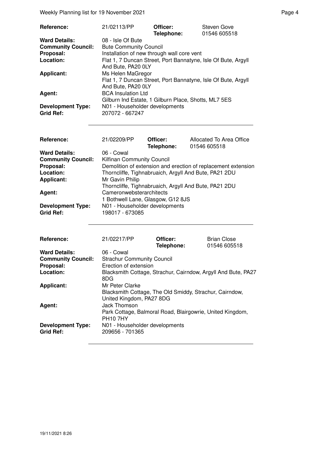Weekly Planning list for 19 November 2021 and the state of the Page 4 Page 4

| Reference:                | 21/02113/PP                                                   | Officer:   | Steven Gove  |
|---------------------------|---------------------------------------------------------------|------------|--------------|
|                           |                                                               | Telephone: | 01546 605518 |
| <b>Ward Details:</b>      | 08 - Isle Of Bute                                             |            |              |
| <b>Community Council:</b> | <b>Bute Community Council</b>                                 |            |              |
| Proposal:                 | Installation of new through wall core vent                    |            |              |
| Location:                 | Flat 1, 7 Duncan Street, Port Bannatyne, Isle Of Bute, Argyll |            |              |
|                           | And Bute, PA20 0LY                                            |            |              |
| <b>Applicant:</b>         | Ms Helen MaGregor                                             |            |              |
|                           | Flat 1, 7 Duncan Street, Port Bannatyne, Isle Of Bute, Argyll |            |              |
|                           | And Bute, PA20 0LY                                            |            |              |
| Agent:                    | <b>BCA Insulation Ltd</b>                                     |            |              |
|                           | Gilburn Ind Estate, 1 Gilburn Place, Shotts, ML7 5ES          |            |              |
| <b>Development Type:</b>  | N01 - Householder developments                                |            |              |
| <b>Grid Ref:</b>          | 207072 - 667247                                               |            |              |

| Reference:                                   | 21/02209/PP                                           | Officer:<br>Telephone: | Allocated To Area Office<br>01546 605518                      |
|----------------------------------------------|-------------------------------------------------------|------------------------|---------------------------------------------------------------|
| <b>Ward Details:</b>                         | 06 - Cowal                                            |                        |                                                               |
| <b>Community Council:</b>                    | <b>Kilfinan Community Council</b>                     |                        |                                                               |
| Proposal:                                    |                                                       |                        | Demolition of extension and erection of replacement extension |
| Location:                                    | Thorncliffe, Tighnabruaich, Argyll And Bute, PA21 2DU |                        |                                                               |
| <b>Applicant:</b>                            | Mr Gavin Philip                                       |                        |                                                               |
|                                              |                                                       |                        | Thorncliffe, Tighnabruaich, Argyll And Bute, PA21 2DU         |
| Agent:                                       | Cameronwebsterarchitects                              |                        |                                                               |
|                                              | 1 Bothwell Lane, Glasgow, G12 8JS                     |                        |                                                               |
| <b>Development Type:</b><br><b>Grid Ref:</b> | N01 - Householder developments<br>198017 - 673085     |                        |                                                               |

| Reference:                                   | 21/02217/PP                                                                                            | Officer:<br>Telephone: | <b>Brian Close</b><br>01546 605518 |
|----------------------------------------------|--------------------------------------------------------------------------------------------------------|------------------------|------------------------------------|
| <b>Ward Details:</b>                         | 06 - Cowal                                                                                             |                        |                                    |
| <b>Community Council:</b>                    | <b>Strachur Community Council</b>                                                                      |                        |                                    |
| Proposal:                                    | Erection of extension                                                                                  |                        |                                    |
| Location:                                    | Blacksmith Cottage, Strachur, Cairndow, Argyll And Bute, PA27<br>8DG                                   |                        |                                    |
| <b>Applicant:</b>                            | Mr Peter Clarke<br>Blacksmith Cottage, The Old Smiddy, Strachur, Cairndow,<br>United Kingdom, PA27 8DG |                        |                                    |
| Agent:                                       | Jack Thomson<br>Park Cottage, Balmoral Road, Blairgowrie, United Kingdom,<br><b>PH10 7HY</b>           |                        |                                    |
| <b>Development Type:</b><br><b>Grid Ref:</b> | N01 - Householder developments<br>209656 - 701365                                                      |                        |                                    |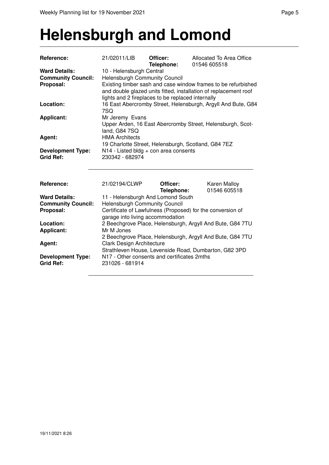#### **Helensburgh and Lomond**

| Reference:                | 21/02011/LIB                                                                                  | Officer:<br>Telephone: | Allocated To Area Office<br>01546 605518                     |  |  |
|---------------------------|-----------------------------------------------------------------------------------------------|------------------------|--------------------------------------------------------------|--|--|
| <b>Ward Details:</b>      | 10 - Helensburgh Central                                                                      |                        |                                                              |  |  |
| <b>Community Council:</b> | <b>Helensburgh Community Council</b>                                                          |                        |                                                              |  |  |
| Proposal:                 | Existing timber sash and case window frames to be refurbished                                 |                        |                                                              |  |  |
|                           | and double glazed units fitted, installation of replacement roof                              |                        |                                                              |  |  |
|                           | lights and 2 fireplaces to be replaced internally                                             |                        |                                                              |  |  |
| Location:                 |                                                                                               |                        | 16 East Abercromby Street, Helensburgh, Argyll And Bute, G84 |  |  |
|                           | 7SQ                                                                                           |                        |                                                              |  |  |
| <b>Applicant:</b>         | Mr Jeremy Evans                                                                               |                        |                                                              |  |  |
|                           |                                                                                               |                        | Upper Arden, 16 East Abercromby Street, Helensburgh, Scot-   |  |  |
|                           | land, G84 7SQ                                                                                 |                        |                                                              |  |  |
| Agent:                    | <b>HMA Architects</b>                                                                         |                        |                                                              |  |  |
|                           | 19 Charlotte Street, Helensburgh, Scotland, G84 7EZ                                           |                        |                                                              |  |  |
| <b>Development Type:</b>  | N14 - Listed bldg + con area consents                                                         |                        |                                                              |  |  |
| <b>Grid Ref:</b>          | 230342 - 682974                                                                               |                        |                                                              |  |  |
| <b>Reference:</b>         | 21/02194/CLWP                                                                                 | Officer:<br>Telephone: | Karen Malloy<br>01546 605518                                 |  |  |
| <b>Ward Details:</b>      | 11 - Helensburgh And Lomond South                                                             |                        |                                                              |  |  |
| <b>Community Council:</b> | <b>Helensburgh Community Council</b>                                                          |                        |                                                              |  |  |
| Proposal:                 |                                                                                               |                        | Certificate of Lawfulness (Proposed) for the conversion of   |  |  |
|                           |                                                                                               |                        |                                                              |  |  |
| Location:                 | garage into living accommodation<br>2 Beechgrove Place, Helensburgh, Argyll And Bute, G84 7TU |                        |                                                              |  |  |
| <b>Applicant:</b>         | Mr M Jones                                                                                    |                        |                                                              |  |  |
|                           |                                                                                               |                        | 2 Beechgrove Place, Helensburgh, Argyll And Bute, G84 7TU    |  |  |
| Agent:                    | Clark Design Architecture                                                                     |                        |                                                              |  |  |
|                           | Strathleven House, Levenside Road, Dumbarton, G82 3PD                                         |                        |                                                              |  |  |
| <b>Development Type:</b>  | N17 - Other consents and certificates 2mths                                                   |                        |                                                              |  |  |
| <b>Grid Ref:</b>          | 231026 - 681914                                                                               |                        |                                                              |  |  |
|                           |                                                                                               |                        |                                                              |  |  |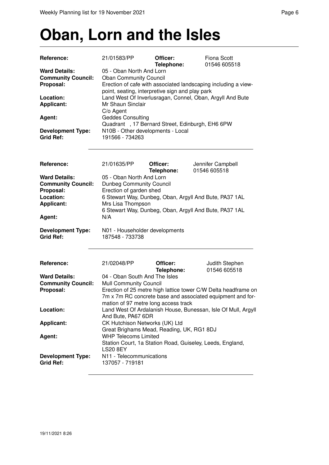# **Oban, Lorn and the Isles**

| Reference:                                                                  | 21/01583/PP                                                                                                                                                                                           | Officer:<br>Telephone: | <b>Fiona Scott</b><br>01546 605518                            |  |  |
|-----------------------------------------------------------------------------|-------------------------------------------------------------------------------------------------------------------------------------------------------------------------------------------------------|------------------------|---------------------------------------------------------------|--|--|
| <b>Ward Details:</b><br><b>Community Council:</b><br>Proposal:              | 05 - Oban North And Lorn<br><b>Oban Community Council</b><br>Erection of cafe with associated landscaping including a view-                                                                           |                        |                                                               |  |  |
| Location:<br><b>Applicant:</b>                                              | point, seating, interpretive sign and play park<br>Land West Of Inverlusragan, Connel, Oban, Argyll And Bute<br>Mr Shaun Sinclair                                                                     |                        |                                                               |  |  |
| Agent:                                                                      | C/o Agent<br><b>Geddes Consulting</b>                                                                                                                                                                 |                        |                                                               |  |  |
| <b>Development Type:</b><br><b>Grid Ref:</b>                                | Quadrant, 17 Bernard Street, Edinburgh, EH6 6PW<br>N10B - Other developments - Local<br>191566 - 734263                                                                                               |                        |                                                               |  |  |
| Reference:                                                                  | 21/01635/PP                                                                                                                                                                                           | Officer:<br>Telephone: | Jennifer Campbell<br>01546 605518                             |  |  |
| <b>Ward Details:</b><br><b>Community Council:</b><br>Proposal:<br>Location: | 05 - Oban North And Lorn<br><b>Dunbeg Community Council</b><br>Erection of garden shed                                                                                                                |                        |                                                               |  |  |
| <b>Applicant:</b>                                                           | 6 Stewart Way, Dunbeg, Oban, Argyll And Bute, PA37 1AL<br>Mrs Lisa Thompson<br>6 Stewart Way, Dunbeg, Oban, Argyll And Bute, PA37 1AL                                                                 |                        |                                                               |  |  |
| Agent:                                                                      | N/A                                                                                                                                                                                                   |                        |                                                               |  |  |
| <b>Development Type:</b><br><b>Grid Ref:</b>                                | N01 - Householder developments<br>187548 - 733738                                                                                                                                                     |                        |                                                               |  |  |
| Reference:                                                                  | 21/02048/PP                                                                                                                                                                                           | Officer:<br>Telephone: | Judith Stephen<br>01546 605518                                |  |  |
| <b>Ward Details:</b>                                                        | 04 - Oban South And The Isles                                                                                                                                                                         |                        |                                                               |  |  |
| <b>Community Council:</b><br>Proposal:                                      | <b>Mull Community Council</b><br>Erection of 25 metre high lattice tower C/W Delta headframe on<br>7m x 7m RC concrete base and associated equipment and for-<br>mation of 97 metre long access track |                        |                                                               |  |  |
| Location:                                                                   | And Bute, PA67 6DR                                                                                                                                                                                    |                        | Land West Of Ardalanish House, Bunessan, Isle Of Mull, Argyll |  |  |
| <b>Applicant:</b>                                                           | CK Hutchison Networks (UK) Ltd<br>Great Brighams Mead, Reading, UK, RG1 8DJ                                                                                                                           |                        |                                                               |  |  |
| Agent:                                                                      | <b>WHP Telecoms Limited</b><br><b>LS20 8EY</b>                                                                                                                                                        |                        | Station Court, 1a Station Road, Guiseley, Leeds, England,     |  |  |
| <b>Development Type:</b><br><b>Grid Ref:</b>                                | N11 - Telecommunications<br>137057 - 719181                                                                                                                                                           |                        |                                                               |  |  |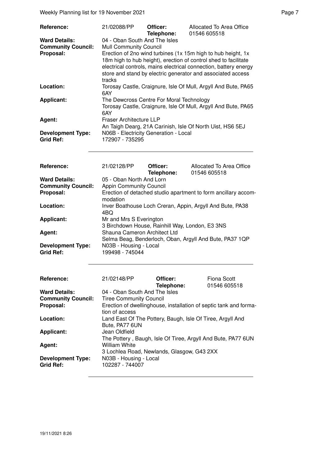Weekly Planning list for 19 November 2021 **Page 7** November 2021

4BQ Applicant: Mr and Mrs S Everington

Agent: **Agent:** Shauna Cameron Architect Ltd

| Reference:                                                     | 21/02088/PP                                                                                                                                                                                                                                                                                                                                                           | Officer:               | Allocated To Area Office                                       |  |  |
|----------------------------------------------------------------|-----------------------------------------------------------------------------------------------------------------------------------------------------------------------------------------------------------------------------------------------------------------------------------------------------------------------------------------------------------------------|------------------------|----------------------------------------------------------------|--|--|
| <b>Ward Details:</b><br><b>Community Council:</b><br>Proposal: | Telephone:<br>01546 605518<br>04 - Oban South And The Isles<br>Mull Community Council<br>Erection of 2no wind turbines (1x 15m high to hub height, 1x<br>18m high to hub height), erection of control shed to facilitate<br>electrical controls, mains electrical connection, battery energy<br>store and stand by electric generator and associated access<br>tracks |                        |                                                                |  |  |
| Location:                                                      | 6AY                                                                                                                                                                                                                                                                                                                                                                   |                        | Torosay Castle, Craignure, Isle Of Mull, Argyll And Bute, PA65 |  |  |
| <b>Applicant:</b>                                              | The Dewcross Centre For Moral Technology<br>Torosay Castle, Craignure, Isle Of Mull, Argyll And Bute, PA65<br>6AY                                                                                                                                                                                                                                                     |                        |                                                                |  |  |
| Agent:                                                         | <b>Fraser Architecture LLP</b><br>An Taigh Dearg, 21A Carinish, Isle Of North Uist, HS6 5EJ                                                                                                                                                                                                                                                                           |                        |                                                                |  |  |
| <b>Development Type:</b><br>Grid Ref:                          | N06B - Electricity Generation - Local<br>172907 - 735295                                                                                                                                                                                                                                                                                                              |                        |                                                                |  |  |
| Reference:                                                     | 21/02128/PP                                                                                                                                                                                                                                                                                                                                                           | Officer:<br>Telephone: | Allocated To Area Office<br>01546 605518                       |  |  |
| <b>Ward Details:</b>                                           | 05 - Oban North And Lorn                                                                                                                                                                                                                                                                                                                                              |                        |                                                                |  |  |
| <b>Community Council:</b>                                      | <b>Appin Community Council</b>                                                                                                                                                                                                                                                                                                                                        |                        |                                                                |  |  |
| Proposal:                                                      | Erection of detached studio apartment to form ancillary accom-<br>modation                                                                                                                                                                                                                                                                                            |                        |                                                                |  |  |
| Location:                                                      | Inver Boathouse Loch Creran, Appin, Argyll And Bute, PA38                                                                                                                                                                                                                                                                                                             |                        |                                                                |  |  |

| <b>Development Type:</b><br><b>Grid Ref:</b> | N03B - Housing - Local<br>199498 - 745044 |                                                            |                                                                   |
|----------------------------------------------|-------------------------------------------|------------------------------------------------------------|-------------------------------------------------------------------|
| Reference:                                   | 21/02148/PP                               | Officer:<br>Telephone:                                     | Fiona Scott<br>01546 605518                                       |
| <b>Ward Details:</b>                         | 04 - Oban South And The Isles             |                                                            |                                                                   |
| <b>Community Council:</b>                    | <b>Tiree Community Council</b>            |                                                            |                                                                   |
| Proposal:                                    | tion of access                            |                                                            | Erection of dwellinghouse, installation of septic tank and forma- |
| Location:                                    | Bute, PA77 6UN                            | Land East Of The Pottery, Baugh, Isle Of Tiree, Argyll And |                                                                   |
| Applicant:                                   | Jean Oldfield                             |                                                            |                                                                   |
|                                              |                                           |                                                            | The Pottery, Baugh, Isle Of Tiree, Argyll And Bute, PA77 6UN      |
| Agent:                                       | William White                             |                                                            |                                                                   |
|                                              |                                           | 3 Lochlea Road, Newlands, Glasgow, G43 2XX                 |                                                                   |
| <b>Development Type:</b>                     | N03B - Housing - Local                    |                                                            |                                                                   |
| <b>Grid Ref:</b>                             | 102287 - 744007                           |                                                            |                                                                   |

3 Birchdown House, Rainhill Way, London, E3 3NS

Selma Beag, Benderloch, Oban, Argyll And Bute, PA37 1QP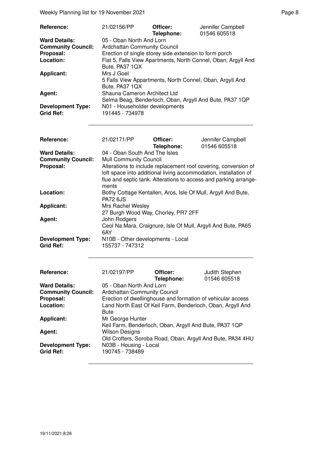Weekly Planning list for 19 November 2021 and the state of the Page 8 Page 8

| Reference:                | 21/02156/PP                                              | Officer:   | Jennifer Campbell                                             |  |
|---------------------------|----------------------------------------------------------|------------|---------------------------------------------------------------|--|
|                           |                                                          | Telephone: | 01546 605518                                                  |  |
| <b>Ward Details:</b>      | 05 - Oban North And Lorn                                 |            |                                                               |  |
| <b>Community Council:</b> | <b>Ardchattan Community Council</b>                      |            |                                                               |  |
| Proposal:                 | Erection of single storey side extension to form porch   |            |                                                               |  |
| Location:                 |                                                          |            | Flat 5, Falls View Apartments, North Connel, Oban, Argyll And |  |
|                           | Bute, PA37 1QX                                           |            |                                                               |  |
| <b>Applicant:</b>         | Mrs J Goel                                               |            |                                                               |  |
|                           | 5 Falls View Appartments, North Connel, Oban, Argyll And |            |                                                               |  |
|                           | Bute, PA37 1QX                                           |            |                                                               |  |
| Agent:                    | Shauna Cameron Architect Ltd                             |            |                                                               |  |
|                           |                                                          |            | Selma Beag, Benderloch, Oban, Argyll And Bute, PA37 1QP       |  |
| <b>Development Type:</b>  | N01 - Householder developments                           |            |                                                               |  |
| <b>Grid Ref:</b>          | 191445 - 734978                                          |            |                                                               |  |

| Reference:                | 21/02171/PP                                                | Officer:<br>Telephone: | Jennifer Campbell<br>01546 605518                                |  |
|---------------------------|------------------------------------------------------------|------------------------|------------------------------------------------------------------|--|
| <b>Ward Details:</b>      | 04 - Oban South And The Isles                              |                        |                                                                  |  |
| <b>Community Council:</b> | <b>Mull Community Council</b>                              |                        |                                                                  |  |
| Proposal:                 |                                                            |                        | Alterations to include replacement roof covering, conversion of  |  |
|                           |                                                            |                        | loft space into additional living accommodation, installation of |  |
|                           | ments                                                      |                        | flue and septic tank. Alterations to access and parking arrange- |  |
| Location:                 | PA72 6.IS                                                  |                        | Bothy Cottage Kentallen, Aros, Isle Of Mull, Argyll And Bute,    |  |
| <b>Applicant:</b>         | Mrs Rachel Wesley                                          |                        |                                                                  |  |
|                           | 27 Burgh Wood Way, Chorley, PR7 2FF                        |                        |                                                                  |  |
| Agent:                    | John Rodgers                                               |                        |                                                                  |  |
|                           |                                                            |                        | Ceol Na Mara, Craignure, Isle Of Mull, Argyll And Bute, PA65     |  |
|                           | 6AY                                                        |                        |                                                                  |  |
| <b>Development Type:</b>  | N10B - Other developments - Local                          |                        |                                                                  |  |
| <b>Grid Ref:</b>          | 155737 - 747312                                            |                        |                                                                  |  |
|                           |                                                            |                        |                                                                  |  |
| Reference:                | 21/02197/PP                                                | Officer:               | Judith Stephen                                                   |  |
|                           |                                                            | Telephone:             | 01546 605518                                                     |  |
| <b>Ward Details:</b>      | 05 - Oban North And Lorn                                   |                        |                                                                  |  |
| <b>Community Council:</b> | Ardchattan Community Council                               |                        |                                                                  |  |
| Proposal:                 |                                                            |                        | Erection of dwellinghouse and formation of vehicular access      |  |
| Location:                 | Land North East Of Keil Farm, Benderloch, Oban, Argyll And |                        |                                                                  |  |
|                           | <b>Bute</b>                                                |                        |                                                                  |  |
| <b>Applicant:</b>         | Mr George Hunter                                           |                        |                                                                  |  |
|                           | Keil Farm, Benderloch, Oban, Argyll And Bute, PA37 1QP     |                        |                                                                  |  |

**Development Type:** N03B - Housing - Local

Old Crofters, Soroba Road, Oban, Argyll And Bute, PA34 4HU

**Development Type:**<br>Grid Ref:

Agent: **Wilson Designs**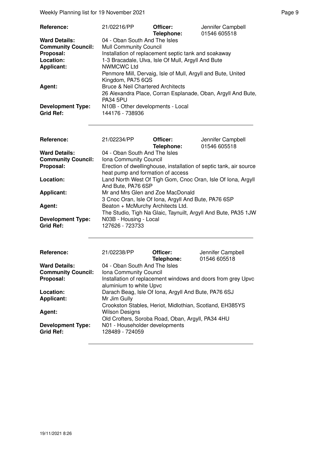Weekly Planning list for 19 November 2021 and the state of the Page 9 Page 9

| Reference:                                   | 21/02216/PP                                                                       | Officer:<br>Telephone: | Jennifer Campbell<br>01546 605518                            |
|----------------------------------------------|-----------------------------------------------------------------------------------|------------------------|--------------------------------------------------------------|
| <b>Ward Details:</b>                         | 04 - Oban South And The Isles                                                     |                        |                                                              |
| <b>Community Council:</b>                    | <b>Mull Community Council</b>                                                     |                        |                                                              |
| Proposal:                                    | Installation of replacement septic tank and soakaway                              |                        |                                                              |
| Location:                                    | 1-3 Bracadale, Ulva, Isle Of Mull, Argyll And Bute                                |                        |                                                              |
| <b>Applicant:</b>                            | NWMCWC Ltd                                                                        |                        |                                                              |
|                                              | Penmore Mill, Dervaig, Isle of Mull, Argyll and Bute, United<br>Kingdom, PA75 6QS |                        |                                                              |
| Agent:                                       | <b>Bruce &amp; Neil Chartered Architects</b>                                      |                        |                                                              |
|                                              | <b>PA34 5PU</b>                                                                   |                        | 26 Alexandra Place, Corran Esplanade, Oban, Argyll And Bute, |
| <b>Development Type:</b><br><b>Grid Ref:</b> | N10B - Other developments - Local<br>144176 - 738936                              |                        |                                                              |

| Reference:                | 21/02234/PP                                          | Officer:<br>Telephone: | Jennifer Campbell<br>01546 605518                                  |
|---------------------------|------------------------------------------------------|------------------------|--------------------------------------------------------------------|
| <b>Ward Details:</b>      | 04 - Oban South And The Isles                        |                        |                                                                    |
| <b>Community Council:</b> | Iona Community Council                               |                        |                                                                    |
| Proposal:                 |                                                      |                        | Erection of dwellinghouse, installation of septic tank, air source |
|                           | heat pump and formation of access                    |                        |                                                                    |
| Location:                 |                                                      |                        | Land North West Of Tigh Gom, Cnoc Oran, Isle Of Iona, Argyll       |
|                           | And Bute, PA76 6SP                                   |                        |                                                                    |
| <b>Applicant:</b>         | Mr and Mrs Glen and Zoe MacDonald                    |                        |                                                                    |
|                           | 3 Cnoc Oran, Isle Of Iona, Argyll And Bute, PA76 6SP |                        |                                                                    |
| Agent:                    | Beaton + McMurchy Architects Ltd.                    |                        |                                                                    |
|                           |                                                      |                        | The Studio, Tigh Na Glaic, Taynuilt, Argyll And Bute, PA35 1JW     |
| <b>Development Type:</b>  | N03B - Housing - Local                               |                        |                                                                    |
| <b>Grid Ref:</b>          | 127626 - 723733                                      |                        |                                                                    |

| <b>Reference:</b>                            | 21/02238/PP                                                                | Officer:<br>Telephone: | Jennifer Campbell<br>01546 605518                            |
|----------------------------------------------|----------------------------------------------------------------------------|------------------------|--------------------------------------------------------------|
| <b>Ward Details:</b>                         | 04 - Oban South And The Isles                                              |                        |                                                              |
| <b>Community Council:</b>                    | Iona Community Council                                                     |                        |                                                              |
| Proposal:                                    | aluminium to white Upvc                                                    |                        | Installation of replacement windows and doors from grey Upvc |
| Location:                                    | Darach Beag, Isle Of Iona, Argyll And Bute, PA76 6SJ                       |                        |                                                              |
| <b>Applicant:</b>                            | Mr Jim Gully<br>Crookston Stables, Heriot, Midlothian, Scotland, EH385YS   |                        |                                                              |
| Agent:                                       | <b>Wilson Designs</b><br>Old Crofters, Soroba Road, Oban, Argyll, PA34 4HU |                        |                                                              |
| <b>Development Type:</b><br><b>Grid Ref:</b> | N01 - Householder developments<br>128489 - 724059                          |                        |                                                              |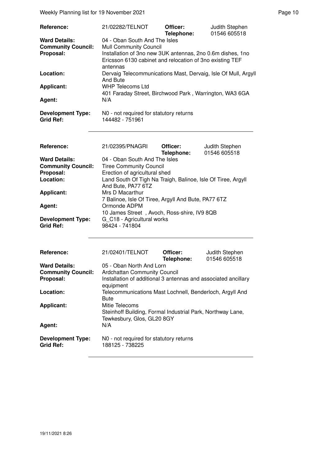Weekly Planning list for 19 November 2021 **Page 10** Page 10

| Reference:                | 21/02282/TELNOT                                                | Officer:   | Judith Stephen |
|---------------------------|----------------------------------------------------------------|------------|----------------|
|                           |                                                                | Telephone: | 01546 605518   |
| <b>Ward Details:</b>      | 04 - Oban South And The Isles                                  |            |                |
| <b>Community Council:</b> | <b>Mull Community Council</b>                                  |            |                |
| Proposal:                 | Installation of 3no new 3UK antennas, 2no 0.6m dishes, 1no     |            |                |
|                           | Ericsson 6130 cabinet and relocation of 3no existing TEF       |            |                |
|                           | antennas                                                       |            |                |
| Location:                 | Dervaig Telecommunications Mast, Dervaig, Isle Of Mull, Argyll |            |                |
|                           | And Bute                                                       |            |                |
| Applicant:                | WHP Telecoms Ltd                                               |            |                |
|                           | 401 Faraday Street, Birchwood Park, Warrington, WA3 6GA        |            |                |
| Agent:                    | N/A                                                            |            |                |
| <b>Development Type:</b>  | N0 - not required for statutory returns                        |            |                |
| <b>Grid Ref:</b>          | 144482 - 751961                                                |            |                |

| Reference:                | 21/02395/PNAGRI                                              | Officer:<br>Telephone: | Judith Stephen<br>01546 605518 |
|---------------------------|--------------------------------------------------------------|------------------------|--------------------------------|
| <b>Ward Details:</b>      | 04 - Oban South And The Isles                                |                        |                                |
| <b>Community Council:</b> | <b>Tiree Community Council</b>                               |                        |                                |
| Proposal:                 | Erection of agricultural shed                                |                        |                                |
| Location:                 | Land South Of Tigh Na Traigh, Balinoe, Isle Of Tiree, Argyll |                        |                                |
|                           | And Bute, PA77 6TZ                                           |                        |                                |
| <b>Applicant:</b>         | Mrs D Macarthur                                              |                        |                                |
|                           | 7 Balinoe, Isle Of Tiree, Argyll And Bute, PA77 6TZ          |                        |                                |
| Agent:                    | Ormonde ADPM                                                 |                        |                                |
|                           | 10 James Street, Avoch, Ross-shire, IV9 8QB                  |                        |                                |
| <b>Development Type:</b>  | G C18 - Agricultural works                                   |                        |                                |
| <b>Grid Ref:</b>          | 98424 - 741804                                               |                        |                                |

| Reference:                                   | 21/02401/TELNOT                                                                                            | Officer:<br>Telephone: | Judith Stephen<br>01546 605518 |
|----------------------------------------------|------------------------------------------------------------------------------------------------------------|------------------------|--------------------------------|
| <b>Ward Details:</b>                         | 05 - Oban North And Lorn                                                                                   |                        |                                |
| <b>Community Council:</b>                    | <b>Ardchattan Community Council</b>                                                                        |                        |                                |
| Proposal:                                    | Installation of additional 3 antennas and associated ancillary<br>equipment                                |                        |                                |
| Location:                                    | Telecommunications Mast Lochnell, Benderloch, Argyll And<br><b>Bute</b>                                    |                        |                                |
| <b>Applicant:</b>                            | Mitie Telecoms<br>Steinhoff Building, Formal Industrial Park, Northway Lane,<br>Tewkesbury, Glos, GL20 8GY |                        |                                |
| Agent:                                       | N/A                                                                                                        |                        |                                |
| <b>Development Type:</b><br><b>Grid Ref:</b> | NO - not required for statutory returns<br>188125 - 738225                                                 |                        |                                |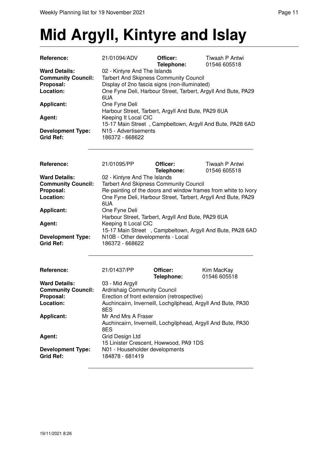## **Mid Argyll, Kintyre and Islay**

| Reference:                                                                  | 21/01094/ADV                                                                                                                                                                                           | Officer:<br>Telephone:                                       | Tiwaah P Antwi<br>01546 605518                                 |  |
|-----------------------------------------------------------------------------|--------------------------------------------------------------------------------------------------------------------------------------------------------------------------------------------------------|--------------------------------------------------------------|----------------------------------------------------------------|--|
| <b>Ward Details:</b><br><b>Community Council:</b><br>Proposal:<br>Location: | 02 - Kintyre And The Islands<br><b>Tarbert And Skipness Community Council</b><br>Display of 2no fascia signs (non-illuminated)<br>One Fyne Deli, Harbour Street, Tarbert, Argyll And Bute, PA29<br>6UA |                                                              |                                                                |  |
| <b>Applicant:</b>                                                           | One Fyne Deli                                                                                                                                                                                          | Harbour Street, Tarbert, Argyll And Bute, PA29 6UA           |                                                                |  |
| Agent:                                                                      | Keeping It Local CIC                                                                                                                                                                                   |                                                              | 15-17 Main Street, Campbeltown, Argyll And Bute, PA28 6AD      |  |
| <b>Development Type:</b><br><b>Grid Ref:</b>                                | N15 - Advertisements<br>186372 - 668622                                                                                                                                                                |                                                              |                                                                |  |
| Reference:                                                                  | 21/01095/PP                                                                                                                                                                                            | Officer:<br>Telephone:                                       | Tiwaah P Antwi<br>01546 605518                                 |  |
| <b>Ward Details:</b>                                                        | 02 - Kintyre And The Islands                                                                                                                                                                           |                                                              |                                                                |  |
| <b>Community Council:</b>                                                   |                                                                                                                                                                                                        | <b>Tarbert And Skipness Community Council</b>                |                                                                |  |
| Proposal:                                                                   |                                                                                                                                                                                                        |                                                              | Re-painting of the doors and window frames from white to Ivory |  |
| Location:                                                                   | One Fyne Deli, Harbour Street, Tarbert, Argyll And Bute, PA29<br>6UA                                                                                                                                   |                                                              |                                                                |  |
| <b>Applicant:</b>                                                           | One Fyne Deli<br>Harbour Street, Tarbert, Argyll And Bute, PA29 6UA                                                                                                                                    |                                                              |                                                                |  |
| Agent:                                                                      | Keeping It Local CIC<br>15-17 Main Street, Campbeltown, Argyll And Bute, PA28 6AD                                                                                                                      |                                                              |                                                                |  |
| <b>Development Type:</b><br><b>Grid Ref:</b>                                | N10B - Other developments - Local<br>186372 - 668622                                                                                                                                                   |                                                              |                                                                |  |
| Reference:                                                                  | 21/01437/PP                                                                                                                                                                                            | Officer:<br>Telephone:                                       | Kim MacKay<br>01546 605518                                     |  |
| <b>Ward Details:</b>                                                        | 03 - Mid Argyll                                                                                                                                                                                        |                                                              |                                                                |  |
| <b>Community Council:</b>                                                   | Ardrishaig Community Council                                                                                                                                                                           |                                                              |                                                                |  |
| Proposal:                                                                   |                                                                                                                                                                                                        | Erection of front extension (retrospective)                  |                                                                |  |
| Location:                                                                   | Auchincairn, Inverneill, Lochgilphead, Argyll And Bute, PA30<br>8ES                                                                                                                                    |                                                              |                                                                |  |
| <b>Applicant:</b>                                                           | Mr And Mrs A Fraser<br>8ES                                                                                                                                                                             | Auchincairn, Inverneill, Lochgilphead, Argyll And Bute, PA30 |                                                                |  |
| Agent:                                                                      | Grid Design Ltd                                                                                                                                                                                        | 15 Linister Crescent, Howwood, PA9 1DS                       |                                                                |  |
| <b>Development Type:</b><br><b>Grid Ref:</b>                                | N01 - Householder developments<br>184878 - 681419                                                                                                                                                      |                                                              |                                                                |  |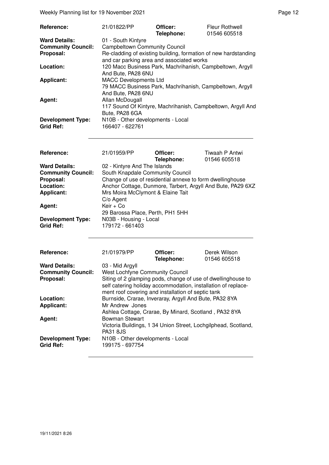Weekly Planning list for 19 November 2021 **Page 12** Page 12

| <b>Reference:</b>                            | 21/01822/PP                                                                                                                  | Officer:<br>Telephone: | <b>Fleur Rothwell</b><br>01546 605518 |
|----------------------------------------------|------------------------------------------------------------------------------------------------------------------------------|------------------------|---------------------------------------|
| <b>Ward Details:</b>                         | 01 - South Kintyre                                                                                                           |                        |                                       |
| <b>Community Council:</b>                    | <b>Campbeltown Community Council</b>                                                                                         |                        |                                       |
| Proposal:                                    | Re-cladding of existing building, formation of new hardstanding                                                              |                        |                                       |
| Location:                                    | and car parking area and associated works<br>120 Macc Business Park, Machrihanish, Campbeltown, Argyll<br>And Bute, PA28 6NU |                        |                                       |
| <b>Applicant:</b>                            | <b>MACC Developments Ltd</b><br>79 MACC Business Park, Machrihanish, Campbeltown, Argyll<br>And Bute, PA28 6NU               |                        |                                       |
| Agent:                                       | Allan McDougall<br>117 Sound Of Kintyre, Machrihanish, Campbeltown, Argyll And<br>Bute, PA28 6GA                             |                        |                                       |
| <b>Development Type:</b><br><b>Grid Ref:</b> | N10B - Other developments - Local<br>166407 - 622761                                                                         |                        |                                       |

| <b>Reference:</b>         | 21/01959/PP                                               | Officer:<br>Telephone: | Tiwaah P Antwi<br>01546 605518                              |
|---------------------------|-----------------------------------------------------------|------------------------|-------------------------------------------------------------|
| <b>Ward Details:</b>      | 02 - Kintyre And The Islands                              |                        |                                                             |
| <b>Community Council:</b> | South Knapdale Community Council                          |                        |                                                             |
| Proposal:                 | Change of use of residential annexe to form dwellinghouse |                        |                                                             |
| Location:                 |                                                           |                        | Anchor Cottage, Dunmore, Tarbert, Argyll And Bute, PA29 6XZ |
| <b>Applicant:</b>         | Mrs Moira McClymont & Elaine Tait                         |                        |                                                             |
|                           | $C/O$ Agent                                               |                        |                                                             |
| Agent:                    | Keir + Co                                                 |                        |                                                             |
|                           | 29 Barossa Place, Perth, PH1 5HH                          |                        |                                                             |
| <b>Development Type:</b>  | N03B - Housing - Local                                    |                        |                                                             |
| <b>Grid Ref:</b>          | 179172 - 661403                                           |                        |                                                             |

| <b>Reference:</b>                            | 21/01979/PP                                                                                                                                                                         | Officer:<br>Telephone: | Derek Wilson<br>01546 605518 |
|----------------------------------------------|-------------------------------------------------------------------------------------------------------------------------------------------------------------------------------------|------------------------|------------------------------|
| <b>Ward Details:</b>                         | 03 - Mid Argyll                                                                                                                                                                     |                        |                              |
| <b>Community Council:</b>                    | <b>West Lochfyne Community Council</b>                                                                                                                                              |                        |                              |
| Proposal:                                    | Siting of 2 glamping pods, change of use of dwellinghouse to<br>self catering holiday accommodation, installation of replace-<br>ment roof covering and installation of septic tank |                        |                              |
| Location:                                    | Burnside, Crarae, Inveraray, Argyll And Bute, PA32 8YA                                                                                                                              |                        |                              |
| <b>Applicant:</b>                            | Mr Andrew Jones                                                                                                                                                                     |                        |                              |
|                                              | Ashlea Cottage, Crarae, By Minard, Scotland, PA32 8YA                                                                                                                               |                        |                              |
| Agent:                                       | Bowman Stewart                                                                                                                                                                      |                        |                              |
|                                              | Victoria Buildings, 1 34 Union Street, Lochgilphead, Scotland,<br><b>PA31 8JS</b>                                                                                                   |                        |                              |
| <b>Development Type:</b><br><b>Grid Ref:</b> | N10B - Other developments - Local<br>199175 - 697754                                                                                                                                |                        |                              |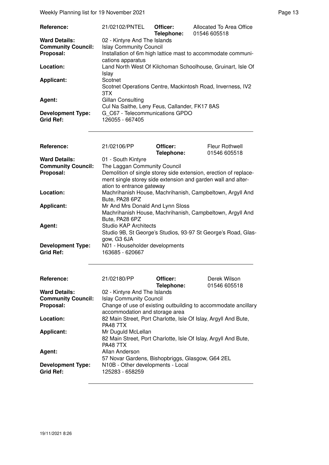| Reference:                | 21/02102/PNTEL                                                                    | Officer:<br>Telephone: | Allocated To Area Office<br>01546 605518                    |
|---------------------------|-----------------------------------------------------------------------------------|------------------------|-------------------------------------------------------------|
| <b>Ward Details:</b>      | 02 - Kintyre And The Islands                                                      |                        |                                                             |
| <b>Community Council:</b> | <b>Islay Community Council</b>                                                    |                        |                                                             |
| Proposal:                 | Installation of 6m high lattice mast to accommodate communi-<br>cations apparatus |                        |                                                             |
| Location:                 | Islay                                                                             |                        | Land North West Of Kilchoman Schoolhouse, Gruinart, Isle Of |
| Applicant:                | Scotnet                                                                           |                        |                                                             |
|                           | 3TX                                                                               |                        | Scotnet Operations Centre, Mackintosh Road, Inverness, IV2  |
| Agent:                    | Gillan Consulting                                                                 |                        |                                                             |
|                           | Cul Na Saithe, Leny Feus, Callander, FK17 8AS                                     |                        |                                                             |
| <b>Development Type:</b>  | G C67 - Telecommunications GPDO                                                   |                        |                                                             |
| <b>Grid Ref:</b>          | 126055 - 667405                                                                   |                        |                                                             |

| <b>Fleur Rothwell</b><br>01546 605518                                                                                            |
|----------------------------------------------------------------------------------------------------------------------------------|
|                                                                                                                                  |
|                                                                                                                                  |
| Demolition of single storey side extension, erection of replace-<br>ment single storey side extension and garden wall and alter- |
| Machrihanish House, Machrihanish, Campbeltown, Argyll And                                                                        |
| Machrihanish House, Machrihanish, Campbeltown, Argyll And                                                                        |
|                                                                                                                                  |
|                                                                                                                                  |
| Studio 9B, St George's Studios, 93-97 St George's Road, Glas-                                                                    |
|                                                                                                                                  |
|                                                                                                                                  |

| Reference:                                   | 21/02180/PP                                                                        | Officer:<br>Telephone:                                         | Derek Wilson<br>01546 605518 |
|----------------------------------------------|------------------------------------------------------------------------------------|----------------------------------------------------------------|------------------------------|
| <b>Ward Details:</b>                         | 02 - Kintyre And The Islands                                                       |                                                                |                              |
| <b>Community Council:</b>                    | <b>Islay Community Council</b>                                                     |                                                                |                              |
| Proposal:                                    |                                                                                    | Change of use of existing outbuilding to accommodate ancillary |                              |
|                                              | accommodation and storage area                                                     |                                                                |                              |
| Location:                                    | 82 Main Street, Port Charlotte, Isle Of Islay, Argyll And Bute,<br><b>PA48 7TX</b> |                                                                |                              |
| <b>Applicant:</b>                            | Mr Duguld McLellan                                                                 |                                                                |                              |
|                                              | 82 Main Street, Port Charlotte, Isle Of Islay, Argyll And Bute,<br><b>PA48 7TX</b> |                                                                |                              |
| Agent:                                       | Allan Anderson                                                                     |                                                                |                              |
|                                              | 57 Novar Gardens, Bishopbriggs, Glasgow, G64 2EL                                   |                                                                |                              |
| <b>Development Type:</b><br><b>Grid Ref:</b> | N10B - Other developments - Local<br>125283 - 658259                               |                                                                |                              |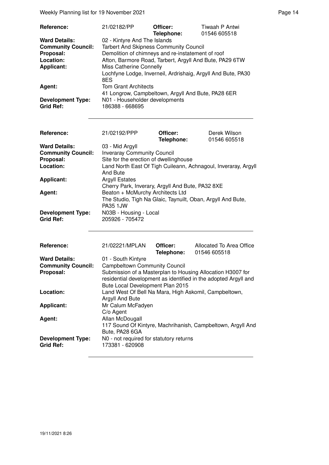Weekly Planning list for 19 November 2021 **Page 14** Page 14

| <b>Reference:</b>                            | 21/02182/PP                                             | Officer:<br>Telephone: | Tiwaah P Antwi<br>01546 605518                               |
|----------------------------------------------|---------------------------------------------------------|------------------------|--------------------------------------------------------------|
| <b>Ward Details:</b>                         | 02 - Kintyre And The Islands                            |                        |                                                              |
| <b>Community Council:</b>                    | <b>Tarbert And Skipness Community Council</b>           |                        |                                                              |
| Proposal:                                    | Demolition of chimneys and re-instatement of roof       |                        |                                                              |
| Location:                                    | Afton, Barmore Road, Tarbert, Argyll And Bute, PA29 6TW |                        |                                                              |
| <b>Applicant:</b>                            | Miss Catherine Connelly                                 |                        |                                                              |
|                                              | 8ES                                                     |                        | Lochfyne Lodge, Inverneil, Ardrishaig, Argyll And Bute, PA30 |
| Agent:                                       | <b>Tom Grant Architects</b>                             |                        |                                                              |
|                                              | 41 Longrow, Campbeltown, Argyll And Bute, PA28 6ER      |                        |                                                              |
| <b>Development Type:</b><br><b>Grid Ref:</b> | N01 - Householder developments<br>186388 - 668695       |                        |                                                              |

| <b>Reference:</b>                                                           | 21/02192/PPP                                                                                                                                                                  | Officer:<br>Telephone:        | Derek Wilson<br>01546 605518                                    |  |
|-----------------------------------------------------------------------------|-------------------------------------------------------------------------------------------------------------------------------------------------------------------------------|-------------------------------|-----------------------------------------------------------------|--|
| <b>Ward Details:</b><br><b>Community Council:</b><br>Proposal:<br>Location: | 03 - Mid Argyll<br><b>Inveraray Community Council</b><br>Site for the erection of dwellinghouse<br>Land North East Of Tigh Cuileann, Achnagoul, Inveraray, Argyll<br>And Bute |                               |                                                                 |  |
| <b>Applicant:</b>                                                           | <b>Argyll Estates</b><br>Cherry Park, Inverary, Argyll And Bute, PA32 8XE                                                                                                     |                               |                                                                 |  |
| Agent:                                                                      | Beaton + McMurchy Architects Ltd<br>The Studio, Tigh Na Glaic, Taynuilt, Oban, Argyll And Bute,<br><b>PA35 1JW</b>                                                            |                               |                                                                 |  |
| <b>Development Type:</b><br><b>Grid Ref:</b>                                | N03B - Housing - Local<br>205926 - 705472                                                                                                                                     |                               |                                                                 |  |
| Reference:                                                                  | 21/02221/MPLAN                                                                                                                                                                | Officer:<br><b>Telephone:</b> | Allocated To Area Office<br>01546 605518                        |  |
| <b>Ward Details:</b>                                                        | 01 - South Kintyre                                                                                                                                                            |                               |                                                                 |  |
| <b>Community Council:</b>                                                   | <b>Campbeltown Community Council</b>                                                                                                                                          |                               |                                                                 |  |
| Proposal:                                                                   | Submission of a Masterplan to Housing Allocation H3007 for                                                                                                                    |                               | residential development as identified in the adopted Argyll and |  |

Bute Local Development Plan 2015 **Location:** Land West Of Bell Na Mara, High Askomil, Campbeltown,

117 Sound Of Kintyre, Machrihanish, Campbeltown, Argyll And

Argyll And Bute

Bute, PA28 6GA **Development Type:** N0 - not required for statutory returns<br>Grid Ref: 173381 - 620908 **Grid Ref:** 173381 - 620908

C/o Agent

**Applicant:** Mr Calum McFadyen

Agent: **Allan McDougall**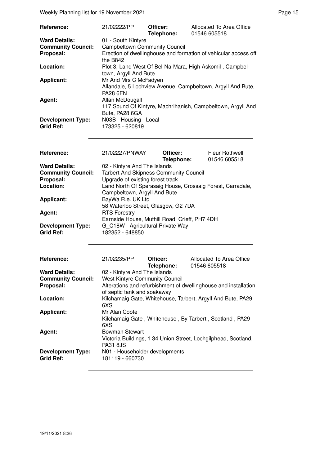Weekly Planning list for 19 November 2021 **Page 15** November 2021

| Reference:                                   | 21/02222/PP                               | Officer:<br>Telephone: | Allocated To Area Office<br>01546 605518                        |
|----------------------------------------------|-------------------------------------------|------------------------|-----------------------------------------------------------------|
| <b>Ward Details:</b>                         | 01 - South Kintyre                        |                        |                                                                 |
| <b>Community Council:</b>                    | <b>Campbeltown Community Council</b>      |                        |                                                                 |
| Proposal:                                    | the B842                                  |                        | Erection of dwellinghouse and formation of vehicular access off |
| Location:                                    | town, Argyll And Bute                     |                        | Plot 3, Land West Of Bel-Na-Mara, High Askomil, Campbel-        |
| <b>Applicant:</b>                            | Mr And Mrs C McFadyen                     |                        |                                                                 |
| Agent:                                       | <b>PA28 6FN</b><br>Allan McDougall        |                        | Allandale, 5 Lochview Avenue, Campbeltown, Argyll And Bute,     |
|                                              | Bute, PA28 6GA                            |                        | 117 Sound Of Kintyre, Machrihanish, Campbeltown, Argyll And     |
| <b>Development Type:</b><br><b>Grid Ref:</b> | N03B - Housing - Local<br>173325 - 620819 |                        |                                                                 |

| Reference:                | 21/02227/PNWAY                                             | Officer:   | <b>Fleur Rothwell</b> |
|---------------------------|------------------------------------------------------------|------------|-----------------------|
|                           |                                                            | Telephone: | 01546 605518          |
| <b>Ward Details:</b>      | 02 - Kintyre And The Islands                               |            |                       |
| <b>Community Council:</b> | <b>Tarbert And Skipness Community Council</b>              |            |                       |
| Proposal:                 | Upgrade of existing forest track                           |            |                       |
| Location:                 | Land North Of Sperasaig House, Crossaig Forest, Carradale, |            |                       |
|                           | Campbeltown, Argyll And Bute                               |            |                       |
| <b>Applicant:</b>         | BayWa R.e. UK Ltd                                          |            |                       |
|                           | 58 Waterloo Street, Glasgow, G2 7DA                        |            |                       |
| Agent:                    | <b>RTS Forestry</b>                                        |            |                       |
|                           | Earnside House, Muthill Road, Crieff, PH7 4DH              |            |                       |
| <b>Development Type:</b>  | G C18W - Agricultural Private Way                          |            |                       |
| <b>Grid Ref:</b>          | 182352 - 648850                                            |            |                       |

| Reference:                                   | 21/02235/PP                                       | Officer:<br>Telephone: | Allocated To Area Office<br>01546 605518                        |
|----------------------------------------------|---------------------------------------------------|------------------------|-----------------------------------------------------------------|
| <b>Ward Details:</b>                         | 02 - Kintyre And The Islands                      |                        |                                                                 |
| <b>Community Council:</b>                    | <b>West Kintyre Community Council</b>             |                        |                                                                 |
| Proposal:                                    | of septic tank and soakaway                       |                        | Alterations and refurbishment of dwellinghouse and installation |
| Location:                                    | 6XS                                               |                        | Kilchamaig Gate, Whitehouse, Tarbert, Argyll And Bute, PA29     |
| <b>Applicant:</b>                            | Mr Alan Coote                                     |                        |                                                                 |
|                                              | 6XS                                               |                        | Kilchamaig Gate, Whitehouse, By Tarbert, Scotland, PA29         |
| Agent:                                       | <b>Bowman Stewart</b>                             |                        |                                                                 |
|                                              | <b>PA31 8JS</b>                                   |                        | Victoria Buildings, 1 34 Union Street, Lochgilphead, Scotland,  |
| <b>Development Type:</b><br><b>Grid Ref:</b> | N01 - Householder developments<br>181119 - 660730 |                        |                                                                 |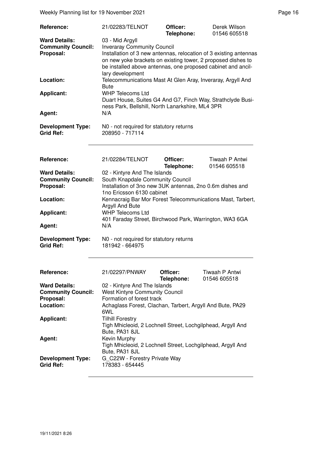Weekly Planning list for 19 November 2021 **Page 16** November 2021

| <b>Reference:</b>                                 | 21/02283/TELNOT                                                                                                                                                                                                       | Officer:<br>Telephone: | Derek Wilson<br>01546 605518 |
|---------------------------------------------------|-----------------------------------------------------------------------------------------------------------------------------------------------------------------------------------------------------------------------|------------------------|------------------------------|
| <b>Ward Details:</b><br><b>Community Council:</b> | 03 - Mid Argyll<br><b>Inveraray Community Council</b>                                                                                                                                                                 |                        |                              |
| Proposal:                                         | Installation of 3 new antennas, relocation of 3 existing antennas<br>on new yoke brackets on existing tower, 2 proposed dishes to<br>be installed above antennas, one proposed cabinet and ancil-<br>lary development |                        |                              |
| Location:                                         | Telecommunications Mast At Glen Aray, Inveraray, Argyll And<br><b>Bute</b>                                                                                                                                            |                        |                              |
| <b>Applicant:</b>                                 | <b>WHP Telecoms Ltd</b><br>Duart House, Suites G4 And G7, Finch Way, Strathclyde Busi-<br>ness Park, Bellshill, North Lanarkshire, ML4 3PR                                                                            |                        |                              |
| Agent:                                            | N/A                                                                                                                                                                                                                   |                        |                              |
| <b>Development Type:</b><br><b>Grid Ref:</b>      | NO - not required for statutory returns<br>208950 - 717114                                                                                                                                                            |                        |                              |
| Reference:                                        | 21/02284/TELNOT                                                                                                                                                                                                       | Officer:               | Tiwaah P Antwi               |

| ,,,,,,,,,,,,,             | <u>LII VLLUTI I LLI 1901</u>                                |            |              |
|---------------------------|-------------------------------------------------------------|------------|--------------|
|                           |                                                             | Telephone: | 01546 605518 |
| <b>Ward Details:</b>      | 02 - Kintyre And The Islands                                |            |              |
| <b>Community Council:</b> | South Knapdale Community Council                            |            |              |
| Proposal:                 | Installation of 3no new 3UK antennas, 2no 0.6m dishes and   |            |              |
|                           | 1no Ericsson 6130 cabinet                                   |            |              |
| Location:                 | Kennacraig Bar Mor Forest Telecommunications Mast, Tarbert, |            |              |
|                           | Argyll And Bute                                             |            |              |
| <b>Applicant:</b>         | <b>WHP Telecoms Ltd</b>                                     |            |              |
|                           | 401 Faraday Street, Birchwood Park, Warrington, WA3 6GA     |            |              |
| Agent:                    | N/A                                                         |            |              |
| <b>Development Type:</b>  | N0 - not required for statutory returns                     |            |              |

**Grid Ref:** 181942 - 664975

 $\overline{a}$ 

| <b>Reference:</b>         | 21/02297/PNWAY                                              | Officer:<br>Telephone: | Tiwaah P Antwi<br>01546 605518 |
|---------------------------|-------------------------------------------------------------|------------------------|--------------------------------|
| <b>Ward Details:</b>      | 02 - Kintyre And The Islands                                |                        |                                |
| <b>Community Council:</b> | <b>West Kintyre Community Council</b>                       |                        |                                |
| Proposal:                 | Formation of forest track                                   |                        |                                |
| Location:                 | Achaglass Forest, Clachan, Tarbert, Argyll And Bute, PA29   |                        |                                |
|                           | 6WL                                                         |                        |                                |
| <b>Applicant:</b>         | <b>Tilhill Forestry</b>                                     |                        |                                |
|                           | Tigh Mhicleoid, 2 Lochnell Street, Lochgilphead, Argyll And |                        |                                |
|                           | Bute, PA31 8JL                                              |                        |                                |
| Agent:                    | Kevin Murphy                                                |                        |                                |
|                           | Tigh Mhicleoid, 2 Lochnell Street, Lochgilphead, Argyll And |                        |                                |
|                           | Bute, PA31 8JL                                              |                        |                                |
| <b>Development Type:</b>  | G C22W - Forestry Private Way                               |                        |                                |
| <b>Grid Ref:</b>          | 178383 - 654445                                             |                        |                                |
|                           |                                                             |                        |                                |